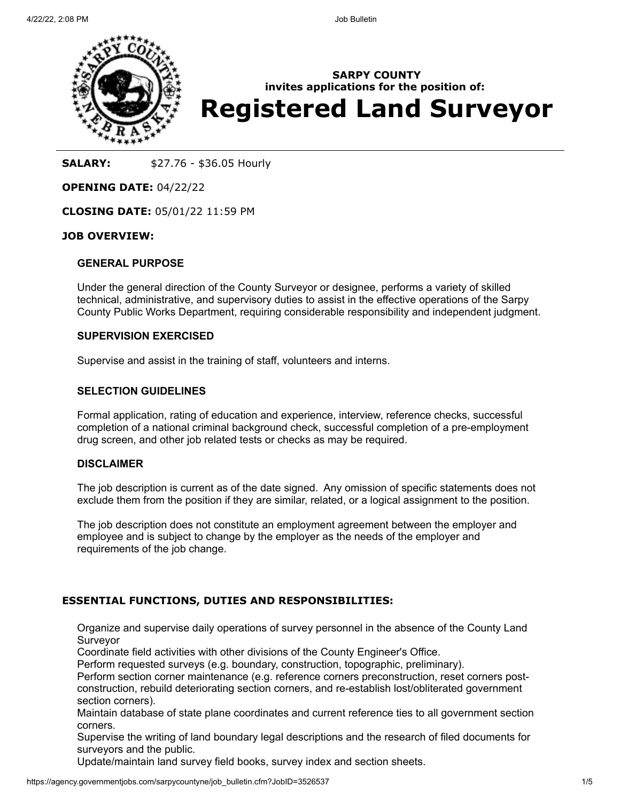

**SARPY COUNTY invites applications for the position of: Registered Land Surveyor**

# **SALARY:**  $$27.76 - $36.05$  Hourly

## **OPENING DATE:** 04/22/22

**CLOSING DATE:** 05/01/22 11:59 PM

## **JOB OVERVIEW:**

### **GENERAL PURPOSE**

Under the general direction of the County Surveyor or designee, performs a variety of skilled technical, administrative, and supervisory duties to assist in the effective operations of the Sarpy County Public Works Department, requiring considerable responsibility and independent judgment.

#### **SUPERVISION EXERCISED**

Supervise and assist in the training of staff, volunteers and interns.

## **SELECTION GUIDELINES**

Formal application, rating of education and experience, interview, reference checks, successful completion of a national criminal background check, successful completion of a pre-employment drug screen, and other job related tests or checks as may be required.

### **DISCLAIMER**

The job description is current as of the date signed. Any omission of specific statements does not exclude them from the position if they are similar, related, or a logical assignment to the position.

The job description does not constitute an employment agreement between the employer and employee and is subject to change by the employer as the needs of the employer and requirements of the job change.

## **ESSENTIAL FUNCTIONS, DUTIES AND RESPONSIBILITIES:**

Organize and supervise daily operations of survey personnel in the absence of the County Land Surveyor

Coordinate field activities with other divisions of the County Engineer's Office.

Perform requested surveys (e.g. boundary, construction, topographic, preliminary).

Perform section corner maintenance (e.g. reference corners preconstruction, reset corners postconstruction, rebuild deteriorating section corners, and re-establish lost/obliterated government section corners).

Maintain database of state plane coordinates and current reference ties to all government section corners.

Supervise the writing of land boundary legal descriptions and the research of filed documents for surveyors and the public.

Update/maintain land survey field books, survey index and section sheets.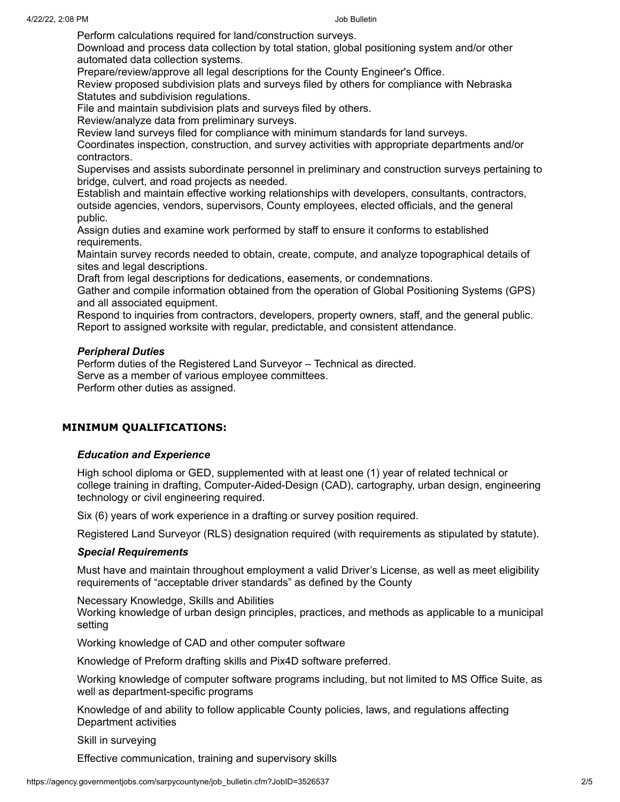Perform calculations required for land/construction surveys.

Download and process data collection by total station, global positioning system and/or other automated data collection systems.

Prepare/review/approve all legal descriptions for the County Engineer's Office.

Review proposed subdivision plats and surveys filed by others for compliance with Nebraska Statutes and subdivision regulations.

File and maintain subdivision plats and surveys filed by others.

Review/analyze data from preliminary surveys.

Review land surveys filed for compliance with minimum standards for land surveys.

Coordinates inspection, construction, and survey activities with appropriate departments and/or contractors.

Supervises and assists subordinate personnel in preliminary and construction surveys pertaining to bridge, culvert, and road projects as needed.

Establish and maintain effective working relationships with developers, consultants, contractors, outside agencies, vendors, supervisors, County employees, elected officials, and the general public.

Assign duties and examine work performed by staff to ensure it conforms to established requirements.

Maintain survey records needed to obtain, create, compute, and analyze topographical details of sites and legal descriptions.

Draft from legal descriptions for dedications, easements, or condemnations.

Gather and compile information obtained from the operation of Global Positioning Systems (GPS) and all associated equipment.

Respond to inquiries from contractors, developers, property owners, staff, and the general public. Report to assigned worksite with regular, predictable, and consistent attendance.

## *Peripheral Duties*

Perform duties of the Registered Land Surveyor – Technical as directed. Serve as a member of various employee committees. Perform other duties as assigned.

## **MINIMUM QUALIFICATIONS:**

#### *Education and Experience*

High school diploma or GED, supplemented with at least one (1) year of related technical or college training in drafting, Computer-Aided-Design (CAD), cartography, urban design, engineering technology or civil engineering required.

Six (6) years of work experience in a drafting or survey position required.

Registered Land Surveyor (RLS) designation required (with requirements as stipulated by statute).

#### *Special Requirements*

Must have and maintain throughout employment a valid Driver's License, as well as meet eligibility requirements of "acceptable driver standards" as defined by the County

Necessary Knowledge, Skills and Abilities

Working knowledge of urban design principles, practices, and methods as applicable to a municipal setting

Working knowledge of CAD and other computer software

Knowledge of Preform drafting skills and Pix4D software preferred.

Working knowledge of computer software programs including, but not limited to MS Office Suite, as well as department-specific programs

Knowledge of and ability to follow applicable County policies, laws, and regulations affecting Department activities

Skill in surveying

Effective communication, training and supervisory skills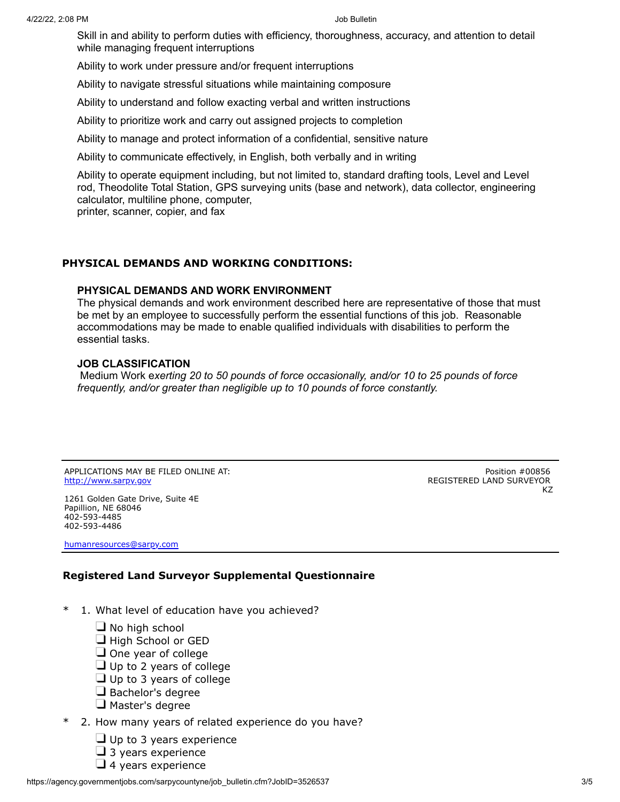Skill in and ability to perform duties with efficiency, thoroughness, accuracy, and attention to detail while managing frequent interruptions

Ability to work under pressure and/or frequent interruptions

Ability to navigate stressful situations while maintaining composure

Ability to understand and follow exacting verbal and written instructions

Ability to prioritize work and carry out assigned projects to completion

Ability to manage and protect information of a confidential, sensitive nature

Ability to communicate effectively, in English, both verbally and in writing

Ability to operate equipment including, but not limited to, standard drafting tools, Level and Level rod, Theodolite Total Station, GPS surveying units (base and network), data collector, engineering calculator, multiline phone, computer,

printer, scanner, copier, and fax

# **PHYSICAL DEMANDS AND WORKING CONDITIONS:**

# **PHYSICAL DEMANDS AND WORK ENVIRONMENT**

The physical demands and work environment described here are representative of those that must be met by an employee to successfully perform the essential functions of this job. Reasonable accommodations may be made to enable qualified individuals with disabilities to perform the essential tasks.

#### **JOB CLASSIFICATION**

Medium Work e*xerting 20 to 50 pounds of force occasionally, and/or 10 to 25 pounds of force frequently, and/or greater than negligible up to 10 pounds of force constantly.*

APPLICATIONS MAY BE FILED ONLINE AT: [http://www.sarpy.gov](http://www.sarpy.gov/)

1261 Golden Gate Drive, Suite 4E Papillion, NE 68046 402-593-4485 402-593-4486

[humanresources@sarpy.com](mailto:humanresources@sarpy.com)

Position #00856 REGISTERED LAND SURVEYOR KZ

# **Registered Land Surveyor Supplemental Questionnaire**

- \* 1. What level of education have you achieved?
	- $\Box$  No high school
	- $\Box$  High School or GED
	- $\Box$  One year of college
	- $\Box$  Up to 2 years of college
	- $\Box$  Up to 3 years of college
	- $\Box$  Bachelor's degree
	- $\Box$  Master's degree
- \* 2. How many years of related experience do you have?
	- $\Box$  Up to 3 years experience
	- $\Box$  3 years experience
	- $\Box$  4 years experience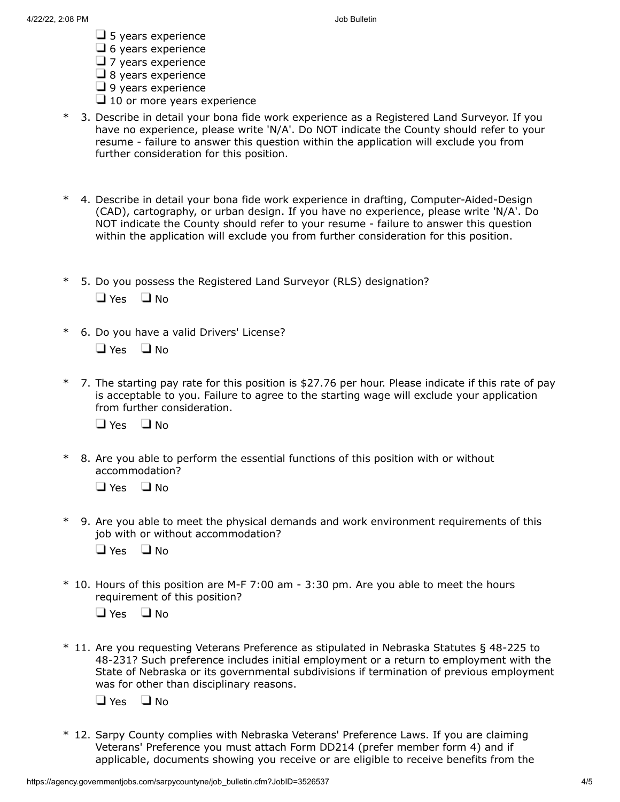- $\Box$  5 years experience
- $\Box$  6 years experience
- $\Box$  7 years experience
- $\Box$  8 years experience
- $\Box$  9 years experience
- $\Box$  10 or more years experience
- \* 3. Describe in detail your bona fide work experience as a Registered Land Surveyor. If you have no experience, please write 'N/A'. Do NOT indicate the County should refer to your resume - failure to answer this question within the application will exclude you from further consideration for this position.
- 4. Describe in detail your bona fide work experience in drafting, Computer-Aided-Design (CAD), cartography, or urban design. If you have no experience, please write 'N/A'. Do NOT indicate the County should refer to your resume - failure to answer this question within the application will exclude you from further consideration for this position.
- \* 5. Do you possess the Registered Land Surveyor (RLS) designation?  $\Box$  Yes  $\Box$  No
- \* 6. Do you have a valid Drivers' License?
	- $\Box$  Yes  $\Box$  No
- 7. The starting pay rate for this position is  $$27.76$  per hour. Please indicate if this rate of pay is acceptable to you. Failure to agree to the starting wage will exclude your application from further consideration.

 $\Box$  Yes  $\Box$  No

\* 8. Are you able to perform the essential functions of this position with or without accommodation?

 $\Box$  Yes  $\Box$  No

\* 9. Are you able to meet the physical demands and work environment requirements of this job with or without accommodation?

 $\Box$  Yes  $\Box$  No

\* 10. Hours of this position are M-F 7:00 am - 3:30 pm. Are you able to meet the hours requirement of this position?

 $\Box$  Yes  $\Box$  No

\* 11. Are you requesting Veterans Preference as stipulated in Nebraska Statutes § 48-225 to 48-231? Such preference includes initial employment or a return to employment with the State of Nebraska or its governmental subdivisions if termination of previous employment was for other than disciplinary reasons.

 $\Box$  Yes  $\Box$  No

\* 12. Sarpy County complies with Nebraska Veterans' Preference Laws. If you are claiming Veterans' Preference you must attach Form DD214 (prefer member form 4) and if applicable, documents showing you receive or are eligible to receive benefits from the